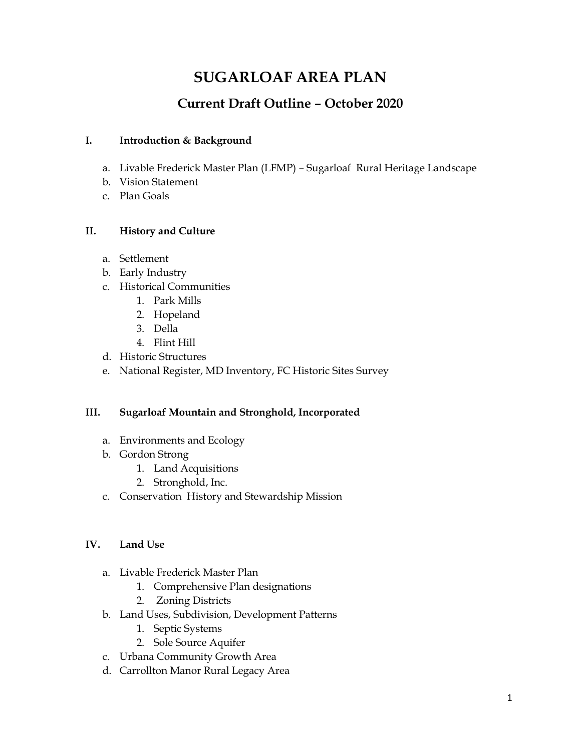# **SUGARLOAF AREA PLAN**

# **Current Draft Outline – October 2020**

### **I. Introduction & Background**

- a. Livable Frederick Master Plan (LFMP) Sugarloaf Rural Heritage Landscape
- b. Vision Statement
- c. Plan Goals

## **II. History and Culture**

- a. Settlement
- b. Early Industry
- c. Historical Communities
	- 1. Park Mills
	- 2. Hopeland
	- 3. Della
	- 4. Flint Hill
- d. Historic Structures
- e. National Register, MD Inventory, FC Historic Sites Survey

#### **III. Sugarloaf Mountain and Stronghold, Incorporated**

- a. Environments and Ecology
- b. Gordon Strong
	- 1. Land Acquisitions
	- 2. Stronghold, Inc.
- c. Conservation History and Stewardship Mission

#### **IV. Land Use**

- a. Livable Frederick Master Plan
	- 1. Comprehensive Plan designations
	- 2. Zoning Districts
- b. Land Uses, Subdivision, Development Patterns
	- 1. Septic Systems
	- 2. Sole Source Aquifer
- c. Urbana Community Growth Area
- d. Carrollton Manor Rural Legacy Area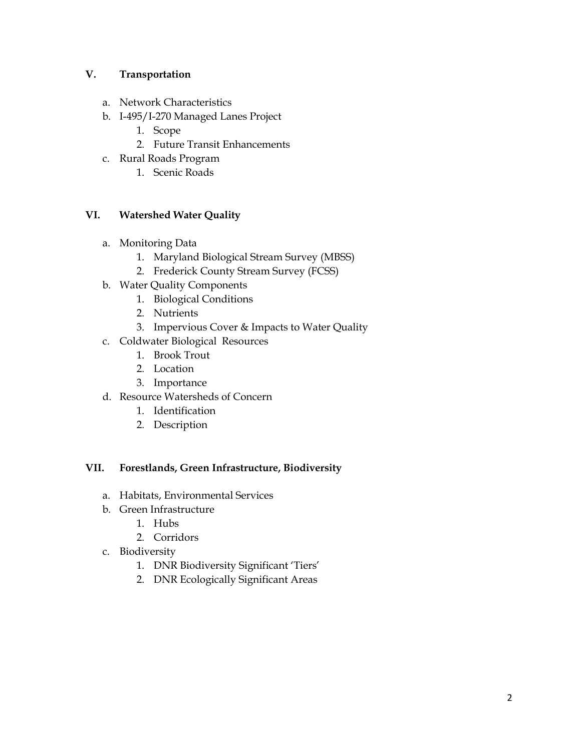#### **V. Transportation**

- a. Network Characteristics
- b. I-495/I-270 Managed Lanes Project
	- 1. Scope
	- 2. Future Transit Enhancements
- c. Rural Roads Program
	- 1. Scenic Roads

#### **VI. Watershed Water Quality**

- a. Monitoring Data
	- 1. Maryland Biological Stream Survey (MBSS)
	- 2. Frederick County Stream Survey (FCSS)
- b. Water Quality Components
	- 1. Biological Conditions
	- 2. Nutrients
	- 3. Impervious Cover & Impacts to Water Quality
- c. Coldwater Biological Resources
	- 1. Brook Trout
	- 2. Location
	- 3. Importance
- d. Resource Watersheds of Concern
	- 1. Identification
	- 2. Description

#### **VII. Forestlands, Green Infrastructure, Biodiversity**

- a. Habitats, Environmental Services
- b. Green Infrastructure
	- 1. Hubs
	- 2. Corridors
- c. Biodiversity
	- 1. DNR Biodiversity Significant 'Tiers'
	- 2. DNR Ecologically Significant Areas